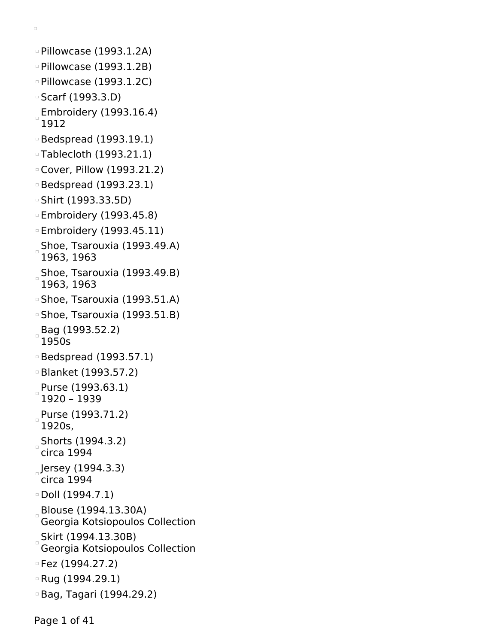```
\Box
```

```
Pillowcase (1993.1.2A)
Pillowcase (1993.1.2B)
Pillowcase (1993.1.2C)
Scarf (1993.3.D)
Embroidery (1993.16.4)
 1912
Bedspread (1993.19.1)
Tablecloth (1993.21.1)
Cover, Pillow (1993.21.2)
Bedspread (1993.23.1)
Shirt (1993.33.5D)
Embroidery (1993.45.8)
Embroidery (1993.45.11)
Shoe, Tsarouxia (1993.49.A)
 1963, 1963
 Shoe, Tsarouxia (1993.49.B)
 1963, 1963
Shoe, Tsarouxia (1993.51.A)
Shoe, Tsarouxia (1993.51.B)
Bag (1993.52.2)
 1950s
Bedspread (1993.57.1)
Blanket (1993.57.2)
Purse (1993.63.1)
 1920 – 1939
Purse (1993.71.2)
 1920s,
Shorts (1994.3.2)
 circa 1994
Jersey (1994.3.3)
 circa 1994
\circ Doll (1994.7.1)
Blouse (1994.13.30A)
 Georgia Kotsiopoulos Collection
Skirt (1994.13.30B)
 Georgia Kotsiopoulos Collection
Fez (1994.27.2)
Rug (1994.29.1)
Bag, Tagari (1994.29.2)
```
Page 1 of 41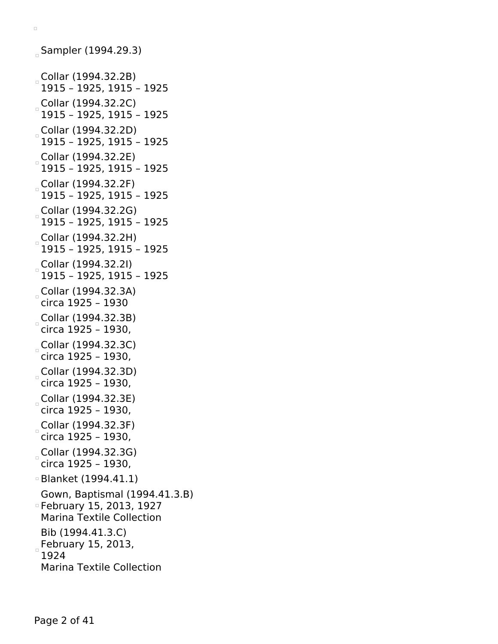```
Sampler (1994.29.3)
Collar (1994.32.2B)
 1915 – 1925, 1915 – 1925
Collar (1994.32.2C)
 1915 – 1925, 1915 – 1925
Collar (1994.32.2D)
 1915 – 1925, 1915 – 1925
Collar (1994.32.2E)
 1915 – 1925, 1915 – 1925
Collar (1994.32.2F)
 1915 – 1925, 1915 – 1925
Collar (1994.32.2G)
 1915 – 1925, 1915 – 1925
Collar (1994.32.2H)
 1915 – 1925, 1915 – 1925
Collar (1994.32.2I)
 1915 – 1925, 1915 – 1925
Collar (1994.32.3A)
 circa 1925 – 1930
Collar (1994.32.3B)
 circa 1925 – 1930,
Collar (1994.32.3C)
 circa 1925 – 1930,
Collar (1994.32.3D)
 circa 1925 – 1930,
Collar (1994.32.3E)
 circa 1925 – 1930,
Collar (1994.32.3F)
 circa 1925 – 1930,
Collar (1994.32.3G)
 circa 1925 – 1930,
Blanket (1994.41.1)
 Gown, Baptismal (1994.41.3.B)
February 15, 2013, 1927
 Marina Textile Collection
 Bib (1994.41.3.C)
February 15, 2013,
 1924
 Marina Textile Collection
```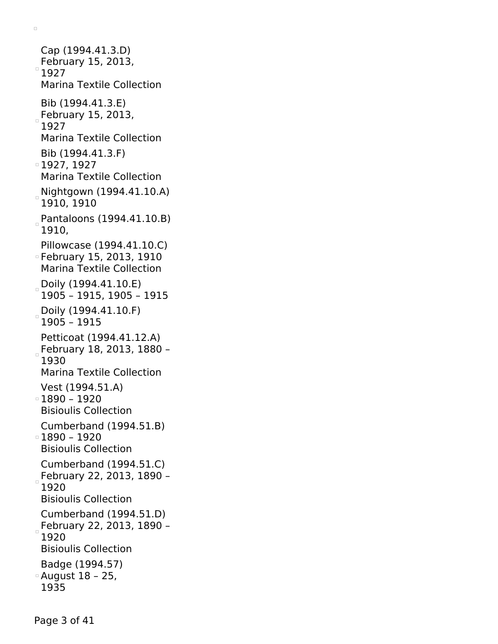Cap (1994.41.3.D) February 15, 2013,  $\overline{\phantom{a}}$ 1927 Marina Textile Collection Bib (1994.41.3.E) February 15, 2013, 1927 Marina Textile Collection Bib (1994.41.3.F) 1927, 1927 Marina Textile Collection Nightgown (1994.41.10.A) 1910, 1910 Pantaloons (1994.41.10.B) 1910, Pillowcase (1994.41.10.C) February 15, 2013, 1910 Marina Textile Collection Doily (1994.41.10.E) 1905 – 1915, 1905 – 1915 Doily (1994.41.10.F) 1905 – 1915 Petticoat (1994.41.12.A) February 18, 2013, 1880 -1930 Marina Textile Collection Vest (1994.51.A) 1890 – 1920 Bisioulis Collection Cumberband (1994.51.B) 1890 – 1920 Bisioulis Collection Cumberband (1994.51.C) February 22, 2013, 1890 -1920 Bisioulis Collection Cumberband (1994.51.D) February 22, 2013, 1890 –  $\Box$ 1920 Bisioulis Collection Badge (1994.57) August 18 – 25, 1935

 $\Box$ 

Page 3 of 41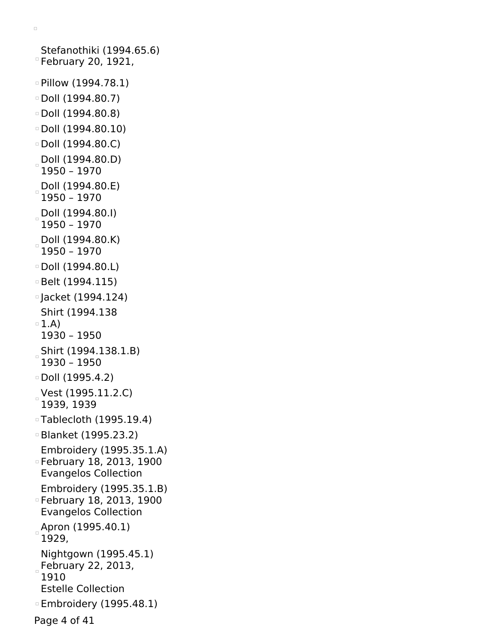```
Stefanothiki (1994.65.6)
February 20, 1921,
Pillow (1994.78.1)
Doll (1994.80.7)
\degree Doll (1994.80.8)
\degree Doll (1994.80.10)
\circ Doll (1994.80.C)
Doll (1994.80.D)
 1950 – 1970
 Doll (1994.80.E)
 1950 – 1970
 Doll (1994.80.I)
 1950 – 1970
 Doll (1994.80.K)
 1950 – 1970
\circ Doll (1994.80.L)
Belt (1994.115)
Jacket (1994.124)
 Shirt (1994.138
\circ 1.A)
 1930 – 1950
Shirt (1994.138.1.B)
 1930 – 1950
\circ Doll (1995.4.2)
 Vest (1995.11.2.C)
 1939, 1939
Tablecloth (1995.19.4)
Blanket (1995.23.2)
 Embroidery (1995.35.1.A)
February 18, 2013, 1900
 Evangelos Collection
 Embroidery (1995.35.1.B)
February 18, 2013, 1900
 Evangelos Collection
Apron (1995.40.1)
 1929,
 Nightgown (1995.45.1)
February 22, 2013,
 1910
 Estelle Collection
Embroidery (1995.48.1)
```
Page 4 of 41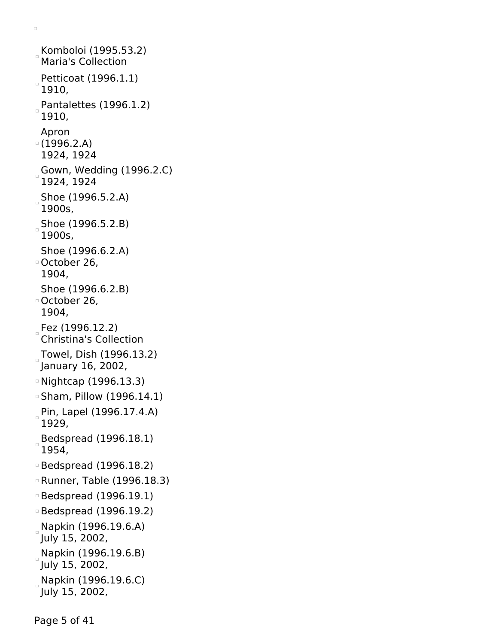Komboloi (1995.53.2) Maria's Collection Petticoat (1996.1.1) 1910, Pantalettes (1996.1.2) 1910, Apron (1996.2.A) 1924, 1924 Gown, Wedding (1996.2.C) 1924, 1924 Shoe (1996.5.2.A) 1900s, Shoe (1996.5.2.B) 1900s, Shoe (1996.6.2.A) October 26, 1904, Shoe (1996.6.2.B) October 26, 1904, Fez (1996.12.2) Christina's Collection Towel, Dish (1996.13.2) January 16, 2002, Nightcap (1996.13.3) Sham, Pillow (1996.14.1) Pin, Lapel (1996.17.4.A) 1929, Bedspread (1996.18.1) 1954, Bedspread (1996.18.2) Runner, Table (1996.18.3) Bedspread (1996.19.1) Bedspread (1996.19.2) Napkin (1996.19.6.A) July 15, 2002, Napkin (1996.19.6.B) July 15, 2002, Napkin (1996.19.6.C) July 15, 2002,

Page 5 of 41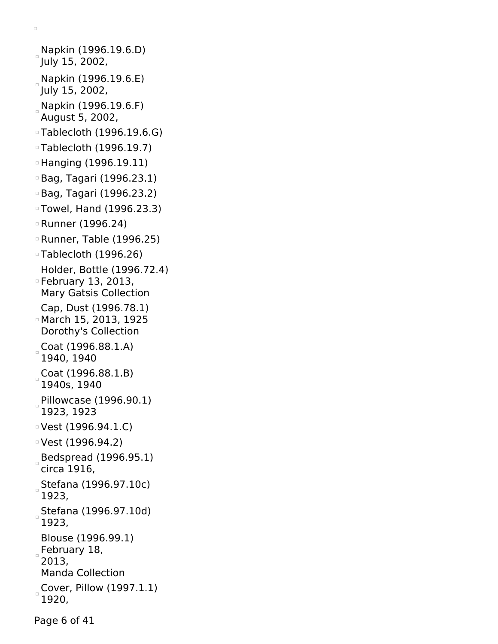```
Napkin (1996.19.6.D)
July 15, 2002,
Napkin (1996.19.6.E)
July 15, 2002,
Napkin (1996.19.6.F)
 August 5, 2002,
Tablecloth (1996.19.6.G)
Tablecloth (1996.19.7)
Hanging (1996.19.11)
Bag, Tagari (1996.23.1)
Bag, Tagari (1996.23.2)
Towel, Hand (1996.23.3)
Runner (1996.24)
Runner, Table (1996.25)
Tablecloth (1996.26)
 Holder, Bottle (1996.72.4)
February 13, 2013,
 Mary Gatsis Collection
 Cap, Dust (1996.78.1)
March 15, 2013, 1925
 Dorothy's Collection
Coat (1996.88.1.A)
 1940, 1940
Coat (1996.88.1.B)
 1940s, 1940
Pillowcase (1996.90.1)
 1923, 1923
Vest (1996.94.1.C)
Vest (1996.94.2)
Bedspread (1996.95.1)
 circa 1916,
 Stefana (1996.97.10c)
 1923,
 Stefana (1996.97.10d)
 1923,
 Blouse (1996.99.1)
February 18,
 2013,
 Manda Collection
Cover, Pillow (1997.1.1)
 1920,
```
Page 6 of 41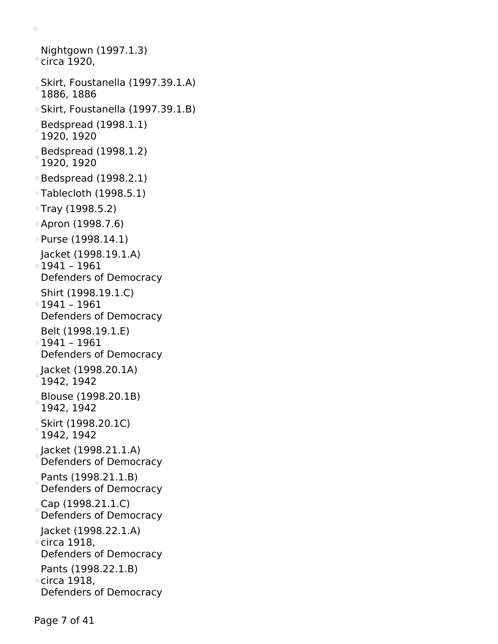Nightgown (1997.1.3)  $\degree$ circa 1920, Skirt, Foustanella (1997.39.1.A) 1886, 1886 Skirt, Foustanella (1997.39.1.B)  $B$ edspread (1998.1.1) 1920, 1920 Bedspread (1998.1.2) 1920, 1920 Bedspread (1998.2.1) Tablecloth (1998.5.1) Tray (1998.5.2) Apron (1998.7.6) Purse (1998.14.1) Jacket (1998.19.1.A) 1941 – 1961 Defenders of Democracy Shirt (1998.19.1.C) 1941 – 1961 Defenders of Democracy Belt (1998.19.1.E) 1941 – 1961 Defenders of Democracy Jacket (1998.20.1A) 1942, 1942 Blouse (1998.20.1B) 1942, 1942 Skirt (1998.20.1C) 1942, 1942 Jacket (1998.21.1.A) Defenders of Democracy Pants (1998.21.1.B) Defenders of Democracy Cap (1998.21.1.C) Defenders of Democracy Jacket (1998.22.1.A) circa 1918, Defenders of Democracy Pants (1998.22.1.B) circa 1918, Defenders of Democracy

 $\Box$ 

Page 7 of 41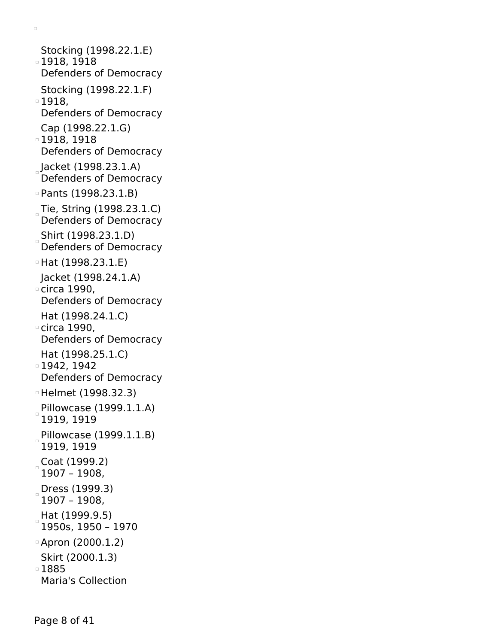Stocking (1998.22.1.E) 1918, 1918 Defenders of Democracy Stocking (1998.22.1.F) 1918, Defenders of Democracy Cap (1998.22.1.G) 1918, 1918 Defenders of Democracy Jacket (1998.23.1.A) Defenders of Democracy Pants (1998.23.1.B) Tie, String (1998.23.1.C) Defenders of Democracy Shirt (1998.23.1.D) Defenders of Democracy Hat (1998.23.1.E) Jacket (1998.24.1.A) circa 1990, Defenders of Democracy Hat (1998.24.1.C) circa 1990, Defenders of Democracy Hat (1998.25.1.C) 1942, 1942 Defenders of Democracy Helmet (1998.32.3) Pillowcase (1999.1.1.A) 1919, 1919 Pillowcase  $(1999.1.1.B)$ 1919, 1919 Coat (1999.2) 1907 – 1908, Dress (1999.3) 1907 – 1908, Hat (1999.9.5) 1950s, 1950 – 1970 Apron (2000.1.2) Skirt (2000.1.3) 1885 Maria's Collection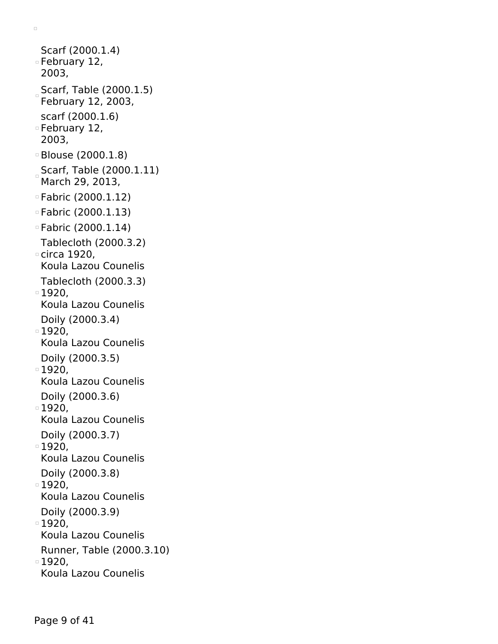Scarf (2000.1.4) February 12, 2003, Scarf, Table (2000.1.5) February 12, 2003, scarf (2000.1.6) February 12, 2003, Blouse (2000.1.8) Scarf, Table (2000.1.11) March 29, 2013, Fabric (2000.1.12) Fabric (2000.1.13) Fabric (2000.1.14) Tablecloth (2000.3.2) circa 1920, Koula Lazou Counelis Tablecloth (2000.3.3) 1920, Koula Lazou Counelis Doily (2000.3.4) 1920, Koula Lazou Counelis Doily (2000.3.5)  $\overline{1}$  1920, Koula Lazou Counelis Doily (2000.3.6) □ 1920. Koula Lazou Counelis Doily (2000.3.7)

 $\Box$ 

1920,

Koula Lazou Counelis

Doily (2000.3.8)

1920, Koula Lazou Counelis

Doily (2000.3.9)

■1920,

Koula Lazou Counelis

Runner, Table (2000.3.10)

1920,

Koula Lazou Counelis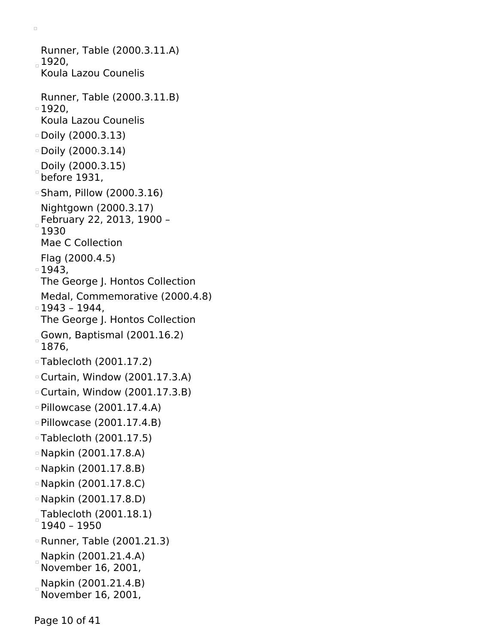Runner, Table (2000.3.11.A)  $1920,$ Koula Lazou Counelis Runner, Table (2000.3.11.B) 1920, Koula Lazou Counelis Doily (2000.3.13) Doily (2000.3.14) Doily (2000.3.15) before 1931, Sham, Pillow (2000.3.16) Nightgown (2000.3.17) February 22, 2013, 1900 – 1930 Mae C Collection Flag (2000.4.5) 1943, The George J. Hontos Collection Medal, Commemorative (2000.4.8) 1943 – 1944, The George J. Hontos Collection Gown, Baptismal (2001.16.2) 1876, Tablecloth (2001.17.2) Curtain, Window (2001.17.3.A) Curtain, Window (2001.17.3.B) Pillowcase (2001.17.4.A) Pillowcase (2001.17.4.B) Tablecloth (2001.17.5) Napkin (2001.17.8.A) Napkin (2001.17.8.B) Napkin (2001.17.8.C) Napkin (2001.17.8.D) Tablecloth (2001.18.1) 1940 – 1950 Runner, Table (2001.21.3) Napkin (2001.21.4.A) November 16, 2001, Napkin (2001.21.4.B) November 16, 2001,

 $\Box$ 

Page 10 of 41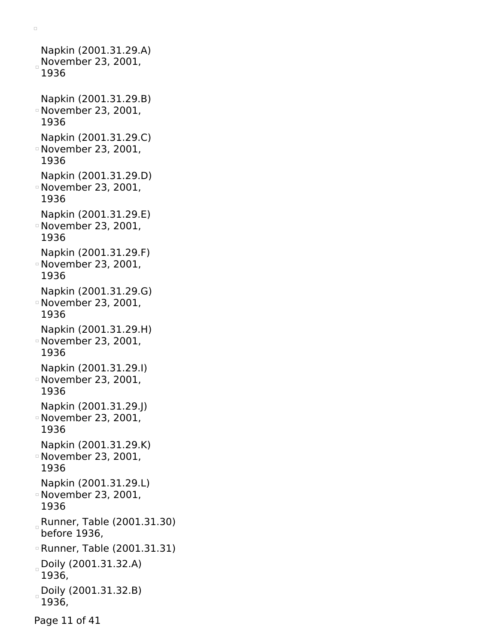Napkin (2001.31.29.A) November 23, 2001, 1936 Napkin (2001.31.29.B) November 23, 2001, 1936 Napkin (2001.31.29.C) November 23, 2001, 1936 Napkin (2001.31.29.D) November 23, 2001, 1936 Napkin (2001.31.29.E) November 23, 2001, 1936 Napkin (2001.31.29.F) November 23, 2001, 1936 Napkin (2001.31.29.G) November 23, 2001, 1936 Napkin (2001.31.29.H) November 23, 2001, 1936 Napkin (2001.31.29.I) November 23, 2001, 1936 Napkin (2001.31.29.J) November 23, 2001, 1936 Napkin (2001.31.29.K) November 23, 2001, 1936 Napkin (2001.31.29.L) November 23, 2001, 1936 Runner, Table (2001.31.30) before 1936, Runner, Table (2001.31.31) Doily (2001.31.32.A) 1936, Doily (2001.31.32.B) 1936,

 $\Box$ 

Page 11 of 41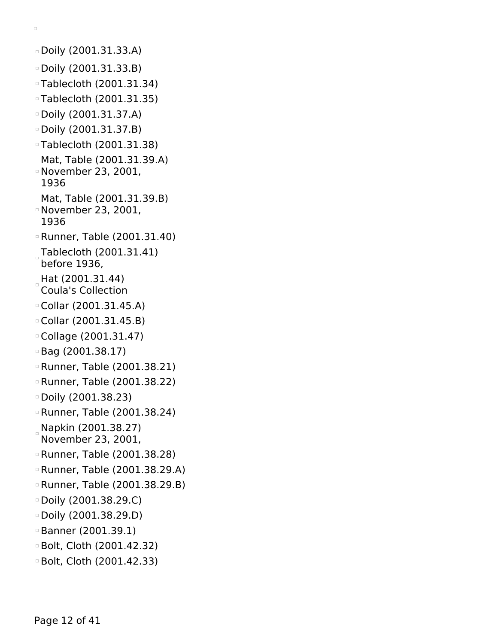Doily (2001.31.33.A) Doily (2001.31.33.B) Tablecloth (2001.31.34) Tablecloth (2001.31.35) Doily (2001.31.37.A) Doily (2001.31.37.B) Tablecloth (2001.31.38) Mat, Table (2001.31.39.A) November 23, 2001, 1936 Mat, Table (2001.31.39.B) November 23, 2001, 1936 Runner, Table (2001.31.40) Tablecloth (2001.31.41) before 1936, Hat (2001.31.44) Coula's Collection Collar (2001.31.45.A) Collar (2001.31.45.B) Collage (2001.31.47) Bag (2001.38.17) Runner, Table (2001.38.21) Runner, Table (2001.38.22) Doily (2001.38.23) Runner, Table (2001.38.24) Napkin (2001.38.27) November 23, 2001, Runner, Table (2001.38.28) Runner, Table (2001.38.29.A) Runner, Table (2001.38.29.B) Doily (2001.38.29.C) Doily (2001.38.29.D) Banner (2001.39.1) Bolt, Cloth (2001.42.32) Bolt, Cloth (2001.42.33)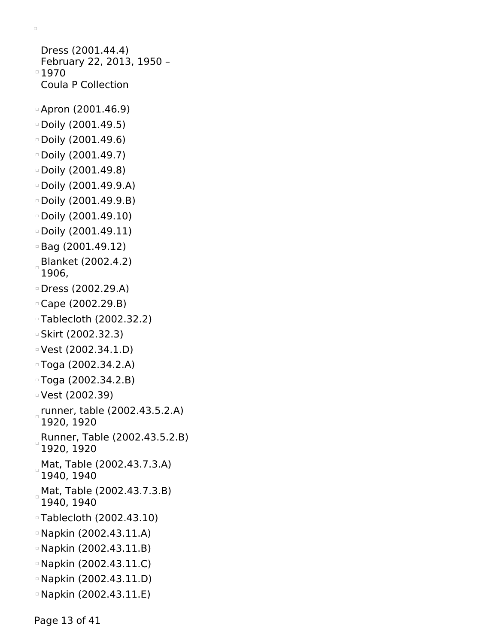```
Dress (2001.44.4)
 February 22, 2013, 1950 –
01970Coula P Collection
Apron (2001.46.9)
Doily (2001.49.5)
Doily (2001.49.6)
D Doily (2001.49.7)
Doily (2001.49.8)
Doily (2001.49.9.A)
Doily (2001.49.9.B)
Doily (2001.49.10)
Doily (2001.49.11)
Bag (2001.49.12)
Blanket (2002.4.2)
 1906,
Dress (2002.29.A)
Cape (2002.29.B)
Tablecloth (2002.32.2)
Skirt (2002.32.3)
Vest (2002.34.1.D)
Toga (2002.34.2.A)
Toga (2002.34.2.B)
Vest (2002.39)
runner, table (2002.43.5.2.A)
 1920, 1920
Runner, Table (2002.43.5.2.B)
 1920, 1920
 Mat, Table (2002.43.7.3.A)
 1940, 1940
Mat, Table (2002.43.7.3.B)
\Box1940, 1940
Tablecloth (2002.43.10)
Napkin (2002.43.11.A)
Napkin (2002.43.11.B)
Napkin (2002.43.11.C)
Napkin (2002.43.11.D)
Napkin (2002.43.11.E)
```
Page 13 of 41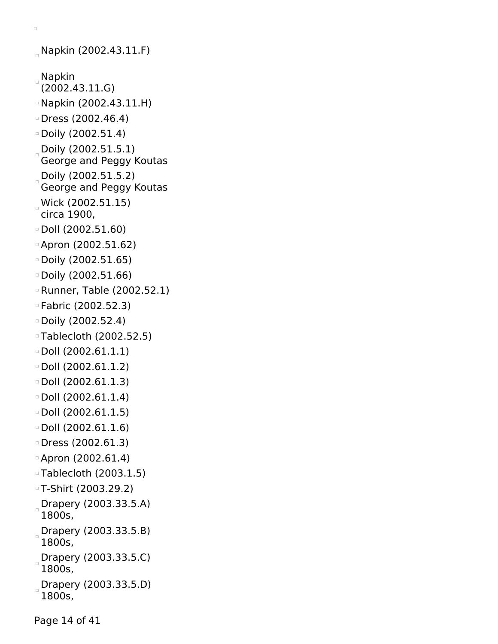```
\Box
```

```
Napkin (2002.43.11.F)
Napkin
 (2002.43.11.G)
Napkin (2002.43.11.H)
Dress (2002.46.4)
Doily (2002.51.4)
Doily (2002.51.5.1)
 George and Peggy Koutas
Doily (2002.51.5.2)
 George and Peggy Koutas
Wick (2002.51.15)
 circa 1900,
Doll (2002.51.60)
Apron (2002.51.62)
Doily (2002.51.65)
Doily (2002.51.66)
Runner, Table (2002.52.1)
Fabric (2002.52.3)
Doily (2002.52.4)
Tablecloth (2002.52.5)
Doll (2002.61.1.1)
Doll (2002.61.1.2)
Doll (2002.61.1.3)
\circ Doll (2002.61.1.4)
\textdegree Doll (2002.61.1.5)
\Box Doll (2002.61.1.6)
Dress (2002.61.3)
Apron (2002.61.4)
Tablecloth (2003.1.5)
T-Shirt (2003.29.2)
Drapery (2003.33.5.A)
 1800s,
Drapery (2003.33.5.B)
 1800s,
Drapery (2003.33.5.C)
 1800s,
 Drapery (2003.33.5.D)
 1800s,
```
Page 14 of 41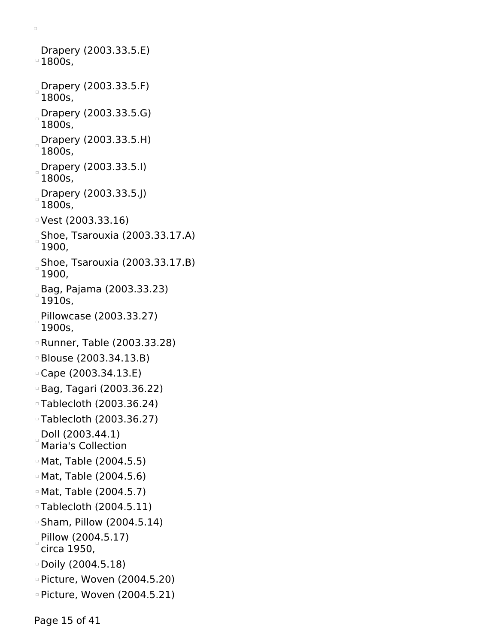Drapery (2003.33.5.E)  $^{\circ}1800$ s, Drapery (2003.33.5.F) 1800s, Drapery (2003.33.5.G) 1800s, Drapery (2003.33.5.H) 1800s, Drapery (2003.33.5.I) 1800s, Drapery (2003.33.5.J) 1800s, Vest (2003.33.16)  $_{\circ}$ Shoe, Tsarouxia (2003.33.17.A) 1900, Shoe, Tsarouxia (2003.33.17.B) 1900, Bag, Pajama (2003.33.23) 1910s, Pillowcase (2003.33.27) 1900s, Runner, Table (2003.33.28) Blouse (2003.34.13.B) Cape (2003.34.13.E) Bag, Tagari (2003.36.22) Tablecloth (2003.36.24) Tablecloth (2003.36.27) Doll (2003.44.1) Maria's Collection Mat, Table (2004.5.5) Mat, Table (2004.5.6) Mat, Table (2004.5.7) Tablecloth (2004.5.11) Sham, Pillow (2004.5.14) Pillow (2004.5.17) circa 1950, Doily (2004.5.18) Picture, Woven (2004.5.20) Picture, Woven (2004.5.21)

 $\Box$ 

Page 15 of 41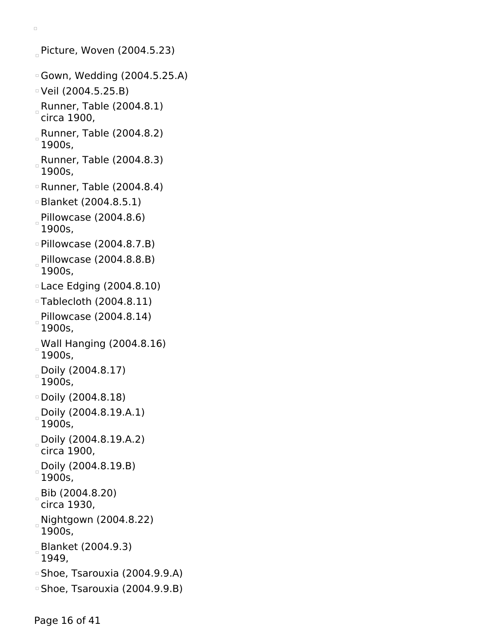Picture, Woven  $(2004.5.23)$ 

- Gown, Wedding (2004.5.25.A)
- Veil (2004.5.25.B)

- Runner, Table (2004.8.1) circa 1900,
- Runner, Table (2004.8.2) 1900s,
- Runner, Table (2004.8.3) 1900s,
- Runner, Table (2004.8.4)
- Blanket (2004.8.5.1)
- Pillowcase (2004.8.6) 1900s,
- Pillowcase (2004.8.7.B)
- Pillowcase (2004.8.8.B) 1900s,
- Lace Edging (2004.8.10)
- Tablecloth (2004.8.11)
- Pillowcase (2004.8.14) 1900s,
- Wall Hanging (2004.8.16) 1900s,
- Doily (2004.8.17) 1900s,
- Doily (2004.8.18)
- Doily (2004.8.19.A.1) 1900s,
- Doily (2004.8.19.A.2) circa 1900,
- Doily (2004.8.19.B) 1900s,
- Bib (2004.8.20)
- circa 1930,
- Nightgown (2004.8.22) 1900s,
- 
- Blanket (2004.9.3) 1949,
- 
- Shoe, Tsarouxia (2004.9.9.A)
- Shoe, Tsarouxia (2004.9.9.B)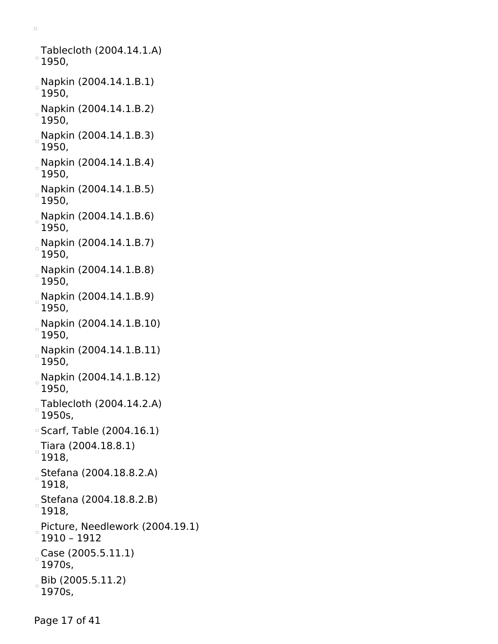Tablecloth (2004.14.1.A)  $^{\circ}$  1950, Napkin (2004.14.1.B.1) 1950, Napkin (2004.14.1.B.2) 1950, Napkin (2004.14.1.B.3) 1950, Napkin (2004.14.1.B.4) 1950, Napkin (2004.14.1.B.5) 1950, Napkin (2004.14.1.B.6) 1950, Napkin (2004.14.1.B.7) 1950, Napkin (2004.14.1.B.8) 1950, Napkin (2004.14.1.B.9) 1950, Napkin (2004.14.1.B.10) 1950, Napkin (2004.14.1.B.11) 1950, Napkin (2004.14.1.B.12) 1950, Tablecloth (2004.14.2.A) 1950s, Scarf, Table (2004.16.1)  $\sqrt{25}$ Tiara (2004.18.8.1) 1918, Stefana (2004.18.8.2.A) 1918, Stefana (2004.18.8.2.B)  $\Box$ 1918, Picture, Needlework (2004.19.1) 1910 – 1912  $_{\circ}$ Case (2005.5.11.1) 1970s, Bib (2005.5.11.2) 1970s,

 $\Box$ 

Page 17 of 41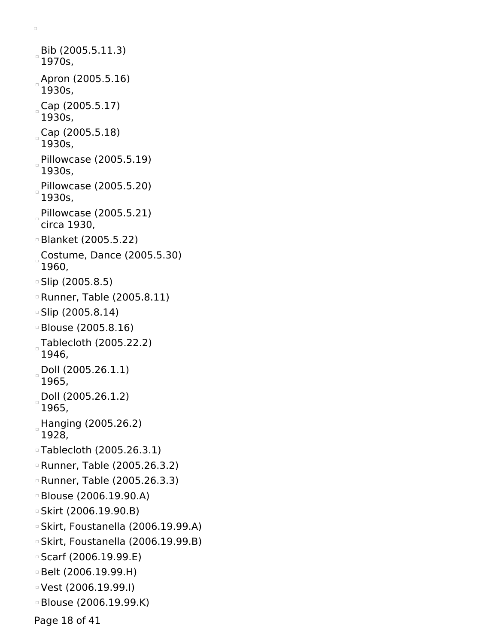Bib (2005.5.11.3) 1970s, Apron (2005.5.16) 1930s,  $_{\circ}$  Cap (2005.5.17) 1930s,  $_{\circ}$  Cap (2005.5.18) 1930s, Pillowcase (2005.5.19) 1930s, Pillowcase (2005.5.20) 1930s, Pillowcase (2005.5.21) circa 1930, Blanket (2005.5.22) Costume, Dance (2005.5.30) 1960, Slip (2005.8.5) Runner, Table (2005.8.11) Slip (2005.8.14) Blouse (2005.8.16) Tablecloth (2005.22.2) 1946, Doll (2005.26.1.1) 1965, Doll (2005.26.1.2) 1965, Hanging (2005.26.2) 1928, Tablecloth (2005.26.3.1) Runner, Table (2005.26.3.2) Runner, Table (2005.26.3.3) Blouse (2006.19.90.A) Skirt (2006.19.90.B) Skirt, Foustanella (2006.19.99.A) Skirt, Foustanella (2006.19.99.B) Scarf (2006.19.99.E) Belt (2006.19.99.H) Vest (2006.19.99.I) Blouse (2006.19.99.K)

 $\Box$ 

Page 18 of 41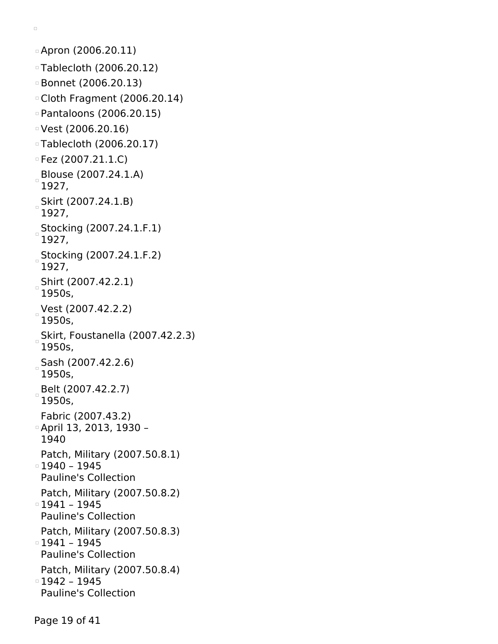```
Apron (2006.20.11)
Tablecloth (2006.20.12)
Bonnet (2006.20.13)
Cloth Fragment (2006.20.14)
Pantaloons (2006.20.15)
Vest (2006.20.16)
Tablecloth (2006.20.17)
\overline{P} Fez (2007.21.1.C)
Blouse (2007.24.1.A)
 1927,
Skirt (2007.24.1.B)
 1927,
Stocking (2007.24.1.F.1)
 1927,
Stocking (2007.24.1.F.2)
 1927,
Shirt (2007.42.2.1)
 1950s,
Vest (2007.42.2.2)
 1950s,
Skirt, Foustanella (2007.42.2.3)
 1950s,
Sash (2007.42.2.6)
\Box1950s,
Belt (2007.42.2.7)
 1950s,
 Fabric (2007.43.2)
April 13, 2013, 1930 –
 1940
 Patch, Military (2007.50.8.1)
1940 – 1945
 Pauline's Collection
 Patch, Military (2007.50.8.2)
1941 – 1945
 Pauline's Collection
 Patch, Military (2007.50.8.3)
1941 – 1945
 Pauline's Collection
 Patch, Military (2007.50.8.4)
1942 – 1945
 Pauline's Collection
```
Page 19 of 41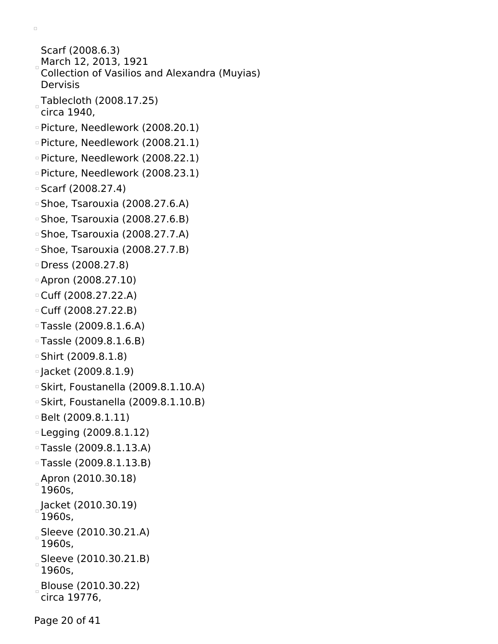Scarf (2008.6.3) March 12, 2013, 1921 Collection of Vasilios and Alexandra (Muyias) Dervisis Tablecloth (2008.17.25) circa 1940, Picture, Needlework (2008.20.1) Picture, Needlework (2008.21.1) Picture, Needlework (2008.22.1) Picture, Needlework (2008.23.1) Scarf (2008.27.4) Shoe, Tsarouxia (2008.27.6.A) Shoe, Tsarouxia (2008.27.6.B) Shoe, Tsarouxia (2008.27.7.A) Shoe, Tsarouxia (2008.27.7.B) Dress (2008.27.8) Apron (2008.27.10) Cuff (2008.27.22.A) Cuff (2008.27.22.B) Tassle (2009.8.1.6.A) Tassle (2009.8.1.6.B) Shirt (2009.8.1.8) Jacket (2009.8.1.9) Skirt, Foustanella (2009.8.1.10.A) Skirt, Foustanella (2009.8.1.10.B) Belt (2009.8.1.11) Legging (2009.8.1.12) Tassle (2009.8.1.13.A) Tassle (2009.8.1.13.B)  $_{\circ}$ Apron (2010.30.18) 1960s, Jacket (2010.30.19) 1960s, Sleeve (2010.30.21.A) 1960s, Sleeve (2010.30.21.B) 1960s, Blouse (2010.30.22) circa 19776,

 $\Box$ 

Page 20 of 41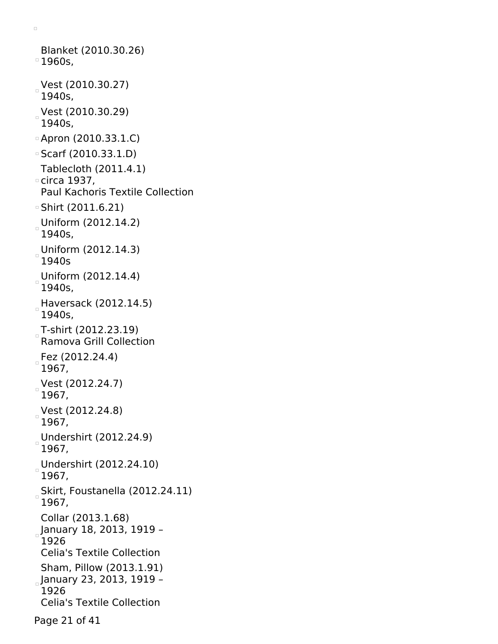Blanket (2010.30.26)  $^{\circ}$  1960s, Vest (2010.30.27) 1940s, Vest (2010.30.29)  $1940s,$ Apron (2010.33.1.C) Scarf (2010.33.1.D) Tablecloth (2011.4.1) circa 1937, Paul Kachoris Textile Collection Shirt (2011.6.21) Uniform (2012.14.2) 1940s, Uniform (2012.14.3) 1940s Uniform (2012.14.4) 1940s, Haversack (2012.14.5) 1940s, T-shirt (2012.23.19) Ramova Grill Collection Fez (2012.24.4) 1967,  $Vest (2012.24.7)$ 1967, Vest (2012.24.8) 1967, Undershirt (2012.24.9) 1967, Undershirt (2012.24.10) 1967, Skirt, Foustanella (2012.24.11) 1967, Collar (2013.1.68) January 18, 2013, 1919 – 1926 Celia's Textile Collection Sham, Pillow (2013.1.91) January 23, 2013, 1919 – 1926 Celia's Textile Collection Page 21 of 41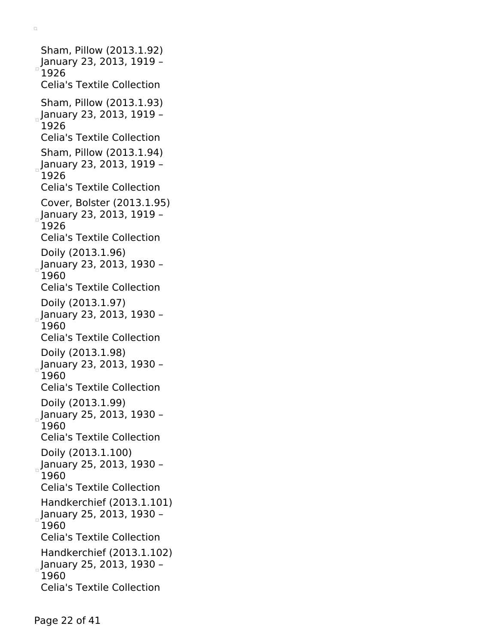Sham, Pillow (2013.1.92) January 23, 2013, 1919 – 1926 Celia's Textile Collection Sham, Pillow (2013.1.93)  $_{\circ}$ January 23, 2013, 1919 – 1926 Celia's Textile Collection Sham, Pillow (2013.1.94) January 23, 2013, 1919 – 1926 Celia's Textile Collection Cover, Bolster (2013.1.95) January 23, 2013, 1919 – 1926 Celia's Textile Collection Doily (2013.1.96) January 23, 2013, 1930 – 1960 Celia's Textile Collection Doily (2013.1.97) January 23, 2013, 1930 – 1960 Celia's Textile Collection Doily (2013.1.98) January 23, 2013, 1930 – 1960 Celia's Textile Collection Doily (2013.1.99)  $_{\circ}$ January 25, 2013, 1930 -1960 Celia's Textile Collection Doily (2013.1.100) January 25, 2013, 1930 – 1960 Celia's Textile Collection Handkerchief (2013.1.101) January 25, 2013, 1930 – 1960 Celia's Textile Collection Handkerchief (2013.1.102)  $_{\circ}$ January 25, 2013, 1930 -1960 Celia's Textile Collection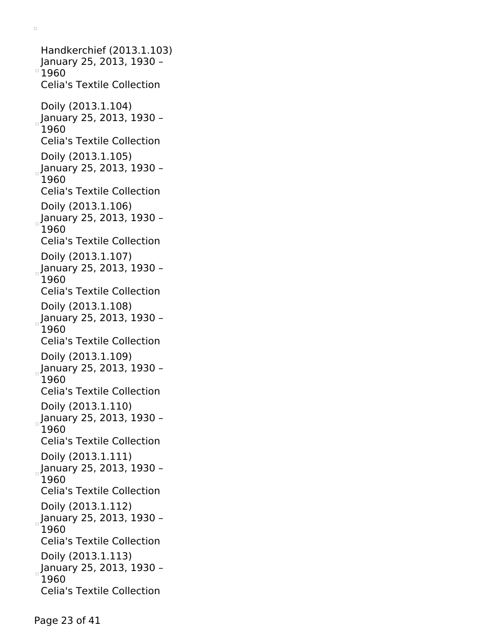Handkerchief (2013.1.103) January 25, 2013, 1930 –  $^{\circ}$ 1960 Celia's Textile Collection Doily (2013.1.104) January 25, 2013, 1930 – 1960 Celia's Textile Collection Doily (2013.1.105) January 25, 2013, 1930 – 1960 Celia's Textile Collection Doily (2013.1.106) January 25, 2013, 1930 – 1960 Celia's Textile Collection Doily (2013.1.107) January 25, 2013, 1930 – 1960 Celia's Textile Collection Doily (2013.1.108) January 25, 2013, 1930 – 1960 Celia's Textile Collection Doily (2013.1.109) January 25, 2013, 1930 – 1960 Celia's Textile Collection Doily (2013.1.110) January 25, 2013, 1930 – 1960 Celia's Textile Collection Doily (2013.1.111) January 25, 2013, 1930 – 1960 Celia's Textile Collection Doily (2013.1.112) January 25, 2013, 1930 – 1960 Celia's Textile Collection Doily (2013.1.113) January 25, 2013, 1930 – 1960 Celia's Textile Collection

 $\Box$ 

Page 23 of 41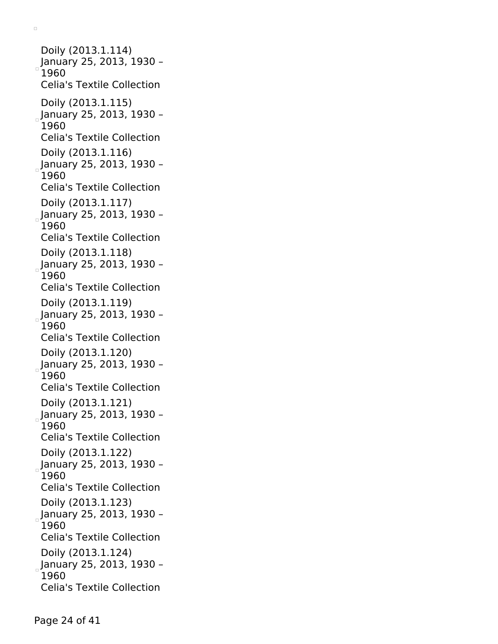Doily (2013.1.114) January 25, 2013, 1930 – 1960 Celia's Textile Collection Doily (2013.1.115)  $_{\circ}$ January 25, 2013, 1930 – 1960 Celia's Textile Collection Doily (2013.1.116) January 25, 2013, 1930 – 1960 Celia's Textile Collection Doily (2013.1.117) January 25, 2013, 1930 – 1960 Celia's Textile Collection Doily (2013.1.118)  $_{\circ}$ January 25, 2013, 1930 – 1960 Celia's Textile Collection Doily (2013.1.119) January 25, 2013, 1930 – 1960 Celia's Textile Collection Doily (2013.1.120) January 25, 2013, 1930 – 1960 Celia's Textile Collection Doily (2013.1.121) January 25, 2013, 1930 – 1960 Celia's Textile Collection Doily (2013.1.122) January 25, 2013, 1930 – 1960 Celia's Textile Collection Doily (2013.1.123) January 25, 2013, 1930 – 1960 Celia's Textile Collection Doily (2013.1.124)  $_{\circ}$ January 25, 2013, 1930 – 1960 Celia's Textile Collection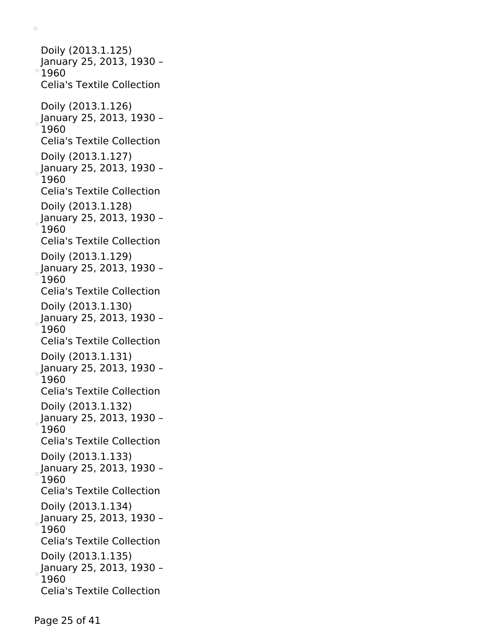Doily (2013.1.125) January 25, 2013, 1930 –  $^{\circ}$ 1960 Celia's Textile Collection Doily (2013.1.126) January 25, 2013, 1930 – 1960 Celia's Textile Collection Doily (2013.1.127)  $_{\circ}$ January 25, 2013, 1930 -1960 Celia's Textile Collection Doily (2013.1.128) January 25, 2013, 1930 – 1960 Celia's Textile Collection Doily (2013.1.129)  $_{\circ}$ January 25, 2013, 1930 -1960 Celia's Textile Collection Doily (2013.1.130) January 25, 2013, 1930 – 1960 Celia's Textile Collection Doily (2013.1.131) January 25, 2013, 1930 – 1960 Celia's Textile Collection Doily (2013.1.132) January 25, 2013, 1930 – 1960 Celia's Textile Collection Doily (2013.1.133) January 25, 2013, 1930 – 1960 Celia's Textile Collection Doily (2013.1.134) January 25, 2013, 1930 – 1960 Celia's Textile Collection Doily (2013.1.135) January 25, 2013, 1930 – 1960 Celia's Textile Collection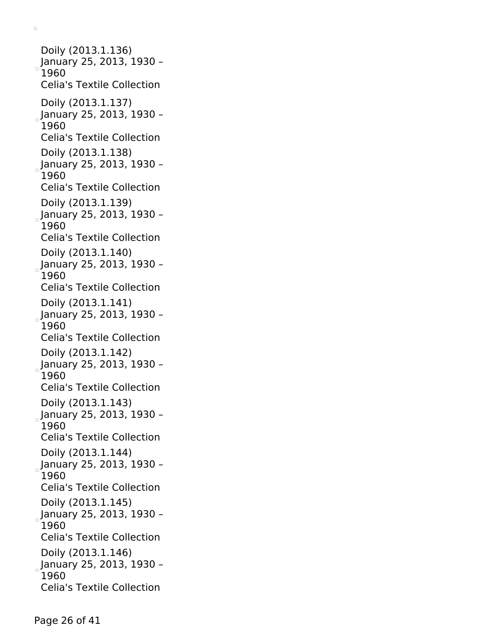Doily (2013.1.136) January 25, 2013, 1930 – 1960 Celia's Textile Collection Doily (2013.1.137)  $_{\circ}$ January 25, 2013, 1930 – 1960 Celia's Textile Collection Doily (2013.1.138) January 25, 2013, 1930 – 1960 Celia's Textile Collection Doily (2013.1.139) January 25, 2013, 1930 – 1960 Celia's Textile Collection Doily (2013.1.140)  $_{\circ}$ January 25, 2013, 1930 – 1960 Celia's Textile Collection Doily (2013.1.141) January 25, 2013, 1930 – 1960 Celia's Textile Collection Doily (2013.1.142) January 25, 2013, 1930 – 1960 Celia's Textile Collection Doily (2013.1.143) January 25, 2013, 1930 – 1960 Celia's Textile Collection Doily (2013.1.144) January 25, 2013, 1930 – 1960 Celia's Textile Collection Doily (2013.1.145) January 25, 2013, 1930 – 1960 Celia's Textile Collection Doily (2013.1.146)  $_{\circ}$ January 25, 2013, 1930 – 1960 Celia's Textile Collection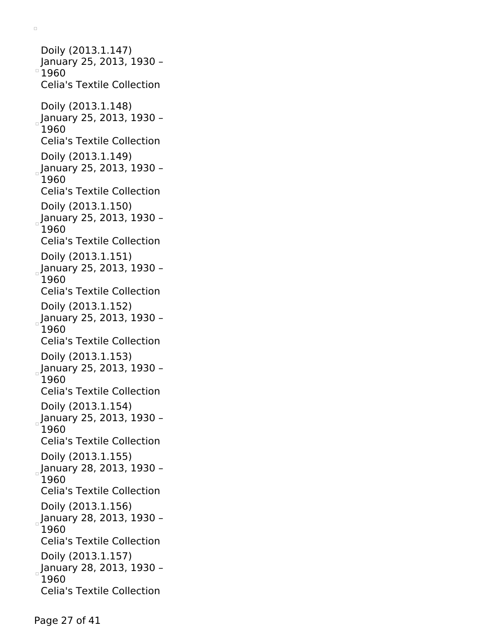Doily (2013.1.147) January 25, 2013, 1930 –  $^{\circ}$ 1960 Celia's Textile Collection Doily (2013.1.148) January 25, 2013, 1930 – 1960 Celia's Textile Collection Doily (2013.1.149) January 25, 2013, 1930 – 1960 Celia's Textile Collection Doily (2013.1.150) January 25, 2013, 1930 – 1960 Celia's Textile Collection Doily (2013.1.151)  $_{\circ}$ January 25, 2013, 1930 -1960 Celia's Textile Collection Doily (2013.1.152) January 25, 2013, 1930 – 1960 Celia's Textile Collection Doily (2013.1.153) January 25, 2013, 1930 – 1960 Celia's Textile Collection Doily (2013.1.154) January 25, 2013, 1930 – 1960 Celia's Textile Collection Doily (2013.1.155) January 28, 2013, 1930 – 1960 Celia's Textile Collection Doily (2013.1.156) January 28, 2013, 1930 – 1960 Celia's Textile Collection Doily (2013.1.157) January 28, 2013, 1930 – 1960 Celia's Textile Collection

 $\Box$ 

Page 27 of 41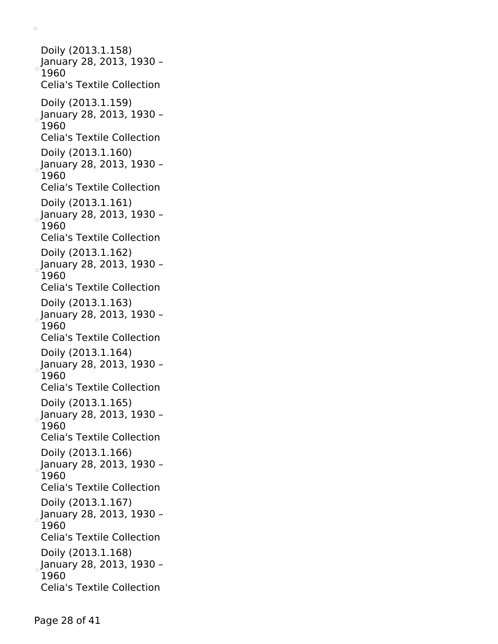Doily (2013.1.158) January 28, 2013, 1930 – 1960 Celia's Textile Collection Doily (2013.1.159)  $_{\circ}$ January 28, 2013, 1930 – 1960 Celia's Textile Collection Doily (2013.1.160) January 28, 2013, 1930 – 1960 Celia's Textile Collection Doily (2013.1.161) January 28, 2013, 1930 – 1960 Celia's Textile Collection Doily (2013.1.162)  $_{\circ}$ January 28, 2013, 1930 – 1960 Celia's Textile Collection Doily (2013.1.163) January 28, 2013, 1930 – 1960 Celia's Textile Collection Doily (2013.1.164) January 28, 2013, 1930 – 1960 Celia's Textile Collection Doily (2013.1.165) January 28, 2013, 1930 – 1960 Celia's Textile Collection Doily (2013.1.166) January 28, 2013, 1930 – 1960 Celia's Textile Collection Doily (2013.1.167) January 28, 2013, 1930 – 1960 Celia's Textile Collection Doily (2013.1.168)  $_{\circ}$ January 28, 2013, 1930 – 1960 Celia's Textile Collection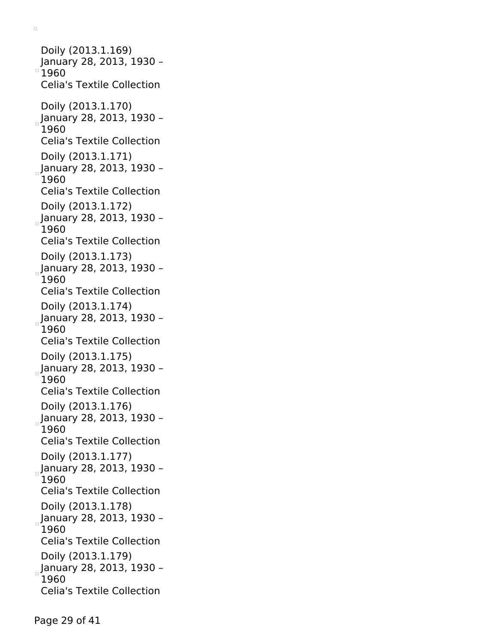Doily (2013.1.169) January 28, 2013, 1930 –  $^{\circ}$ 1960 Celia's Textile Collection Doily (2013.1.170) January 28, 2013, 1930 – 1960 Celia's Textile Collection Doily (2013.1.171)  $_{\circ}$ January 28, 2013, 1930 – 1960 Celia's Textile Collection Doily (2013.1.172) January 28, 2013, 1930 – 1960 Celia's Textile Collection Doily (2013.1.173)  $_{\circ}$ January 28, 2013, 1930 -1960 Celia's Textile Collection Doily (2013.1.174) January 28, 2013, 1930 – 1960 Celia's Textile Collection Doily (2013.1.175) January 28, 2013, 1930 – 1960 Celia's Textile Collection Doily (2013.1.176) January 28, 2013, 1930 – 1960 Celia's Textile Collection Doily (2013.1.177) January 28, 2013, 1930 – 1960 Celia's Textile Collection Doily (2013.1.178) January 28, 2013, 1930 – 1960 Celia's Textile Collection Doily (2013.1.179) January 28, 2013, 1930 – 1960 Celia's Textile Collection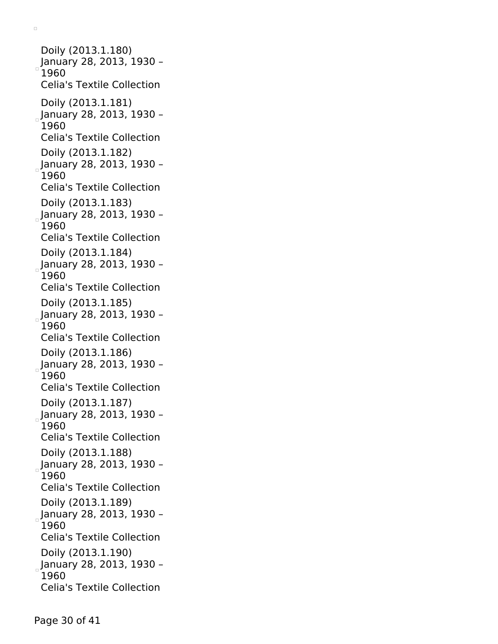Doily (2013.1.180) January 28, 2013, 1930 – 1960 Celia's Textile Collection Doily (2013.1.181)  $_{\circ}$ January 28, 2013, 1930 – 1960 Celia's Textile Collection Doily (2013.1.182) January 28, 2013, 1930 – 1960 Celia's Textile Collection Doily (2013.1.183) January 28, 2013, 1930 – 1960 Celia's Textile Collection Doily (2013.1.184)  $_{\circ}$ January 28, 2013, 1930 – 1960 Celia's Textile Collection Doily (2013.1.185) January 28, 2013, 1930 – 1960 Celia's Textile Collection Doily (2013.1.186) January 28, 2013, 1930 – 1960 Celia's Textile Collection Doily (2013.1.187) January 28, 2013, 1930 – 1960 Celia's Textile Collection Doily (2013.1.188) January 28, 2013, 1930 – 1960 Celia's Textile Collection Doily (2013.1.189) January 28, 2013, 1930 – 1960 Celia's Textile Collection Doily (2013.1.190)  $_{\circ}$ January 28, 2013, 1930 – 1960 Celia's Textile Collection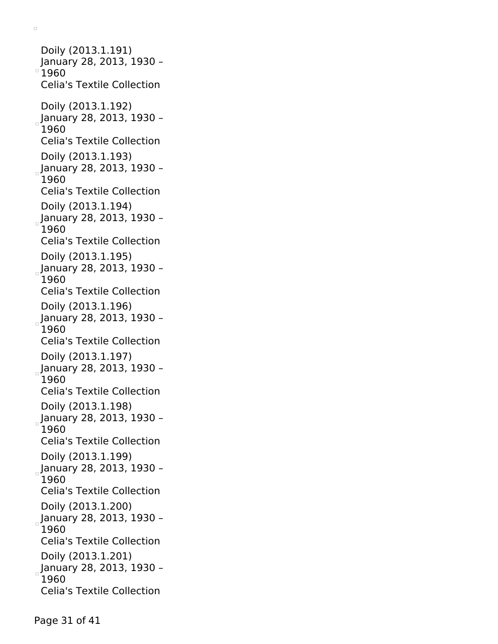Doily (2013.1.191) January 28, 2013, 1930 –  $^{\circ}$ 1960 Celia's Textile Collection Doily (2013.1.192) January 28, 2013, 1930 – 1960 Celia's Textile Collection Doily (2013.1.193) January 28, 2013, 1930 – 1960 Celia's Textile Collection Doily (2013.1.194) January 28, 2013, 1930 – 1960 Celia's Textile Collection Doily (2013.1.195)  $_{\circ}$ January 28, 2013, 1930 -1960 Celia's Textile Collection Doily (2013.1.196) January 28, 2013, 1930 – 1960 Celia's Textile Collection Doily (2013.1.197) January 28, 2013, 1930 – 1960 Celia's Textile Collection Doily (2013.1.198) January 28, 2013, 1930 – 1960 Celia's Textile Collection Doily (2013.1.199) January 28, 2013, 1930 – 1960 Celia's Textile Collection Doily (2013.1.200) January 28, 2013, 1930 – 1960 Celia's Textile Collection Doily (2013.1.201) January 28, 2013, 1930 – 1960 Celia's Textile Collection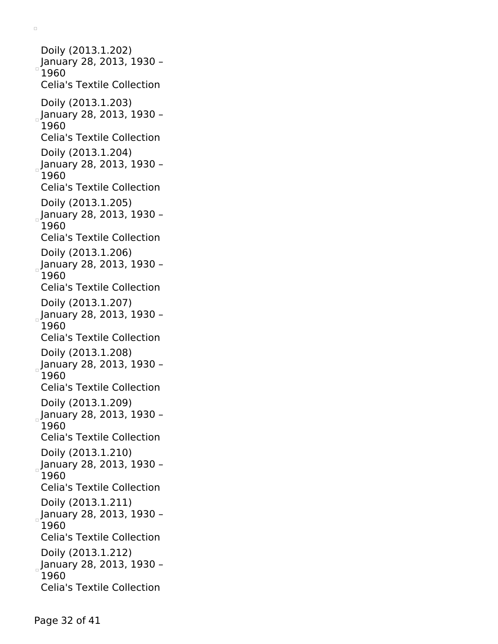Doily (2013.1.202) January 28, 2013, 1930 – 1960 Celia's Textile Collection Doily (2013.1.203)  $_{\circ}$ January 28, 2013, 1930 – 1960 Celia's Textile Collection Doily (2013.1.204) January 28, 2013, 1930 – 1960 Celia's Textile Collection Doily (2013.1.205) January 28, 2013, 1930 – 1960 Celia's Textile Collection Doily (2013.1.206)  $_{\circ}$ January 28, 2013, 1930 – 1960 Celia's Textile Collection Doily (2013.1.207) January 28, 2013, 1930 – 1960 Celia's Textile Collection Doily (2013.1.208) January 28, 2013, 1930 – 1960 Celia's Textile Collection Doily (2013.1.209) January 28, 2013, 1930 – 1960 Celia's Textile Collection Doily (2013.1.210) January 28, 2013, 1930 – 1960 Celia's Textile Collection Doily (2013.1.211) January 28, 2013, 1930 – 1960 Celia's Textile Collection Doily (2013.1.212)  $_{\circ}$ January 28, 2013, 1930 – 1960 Celia's Textile Collection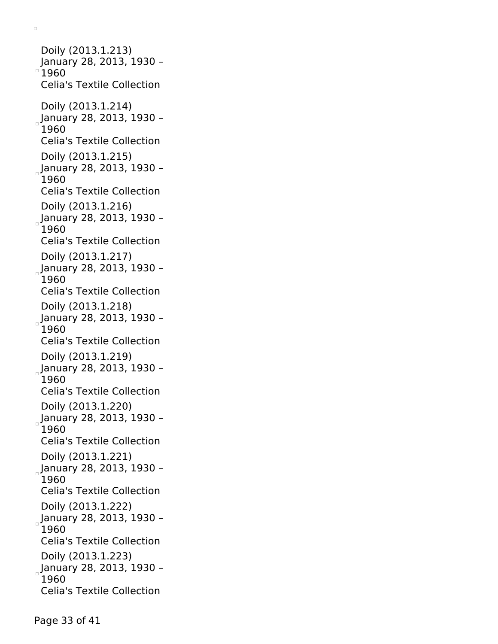Doily (2013.1.213) January 28, 2013, 1930 –  $^{\circ}$ 1960 Celia's Textile Collection Doily (2013.1.214) January 28, 2013, 1930 – 1960 Celia's Textile Collection Doily (2013.1.215)  $_{\circ}$ January 28, 2013, 1930 – 1960 Celia's Textile Collection Doily (2013.1.216) January 28, 2013, 1930 – 1960 Celia's Textile Collection Doily (2013.1.217)  $_{\circ}$ January 28, 2013, 1930 -1960 Celia's Textile Collection Doily (2013.1.218) January 28, 2013, 1930 – 1960 Celia's Textile Collection Doily (2013.1.219) January 28, 2013, 1930 – 1960 Celia's Textile Collection Doily (2013.1.220) January 28, 2013, 1930 – 1960 Celia's Textile Collection Doily (2013.1.221) January 28, 2013, 1930 – 1960 Celia's Textile Collection Doily (2013.1.222) January 28, 2013, 1930 – 1960 Celia's Textile Collection Doily (2013.1.223) January 28, 2013, 1930 – 1960 Celia's Textile Collection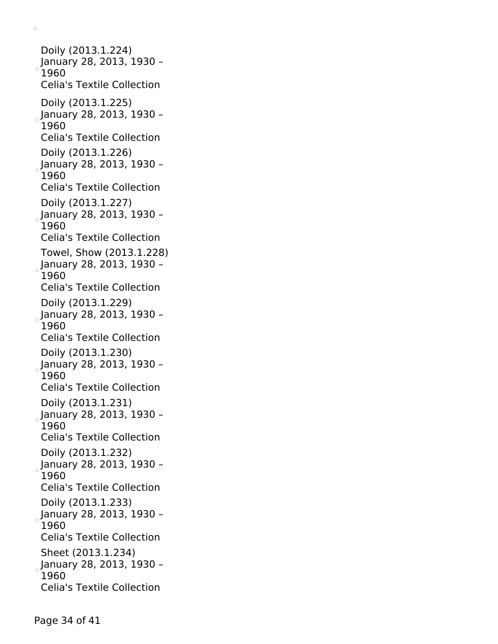Doily (2013.1.224) January 28, 2013, 1930 – 1960 Celia's Textile Collection Doily (2013.1.225)  $_{\circ}$ January 28, 2013, 1930 – 1960 Celia's Textile Collection Doily (2013.1.226) January 28, 2013, 1930 – 1960 Celia's Textile Collection Doily (2013.1.227) January 28, 2013, 1930 – 1960 Celia's Textile Collection Towel, Show (2013.1.228) January 28, 2013, 1930 – 1960 Celia's Textile Collection Doily (2013.1.229) January 28, 2013, 1930 – 1960 Celia's Textile Collection Doily (2013.1.230) January 28, 2013, 1930 – 1960 Celia's Textile Collection Doily (2013.1.231) January 28, 2013, 1930 – 1960 Celia's Textile Collection Doily (2013.1.232) January 28, 2013, 1930 – 1960 Celia's Textile Collection Doily (2013.1.233) January 28, 2013, 1930 – 1960 Celia's Textile Collection Sheet (2013.1.234)  $_{\circ}$ January 28, 2013, 1930 – 1960 Celia's Textile Collection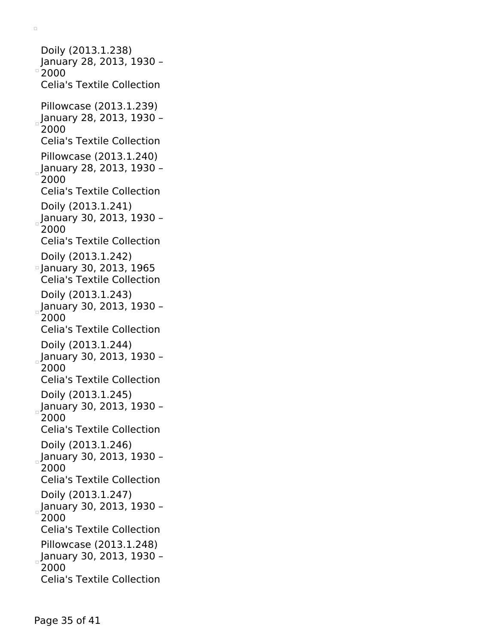Doily (2013.1.238) January 28, 2013, 1930 –  $^{\circ}$  2000 Celia's Textile Collection Pillowcase (2013.1.239)  $_{\circ}$ January 28, 2013, 1930 -2000 Celia's Textile Collection Pillowcase (2013.1.240) January 28, 2013, 1930 – 2000 Celia's Textile Collection Doily (2013.1.241) January 30, 2013, 1930 – 2000 Celia's Textile Collection Doily (2013.1.242) January 30, 2013, 1965 Celia's Textile Collection Doily (2013.1.243) January 30, 2013, 1930 – 2000 Celia's Textile Collection Doily (2013.1.244)  $_{\circ}$ January 30, 2013, 1930 -2000 Celia's Textile Collection Doily (2013.1.245) January 30, 2013, 1930 – 2000 Celia's Textile Collection Doily (2013.1.246) January 30, 2013, 1930 – 2000 Celia's Textile Collection Doily (2013.1.247) January 30, 2013, 1930 – 2000 Celia's Textile Collection Pillowcase (2013.1.248)  $_{\circ}$ January 30, 2013, 1930 – 2000 Celia's Textile Collection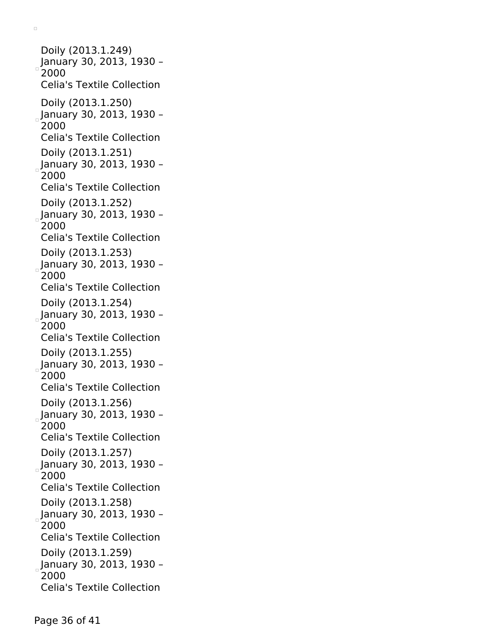Doily (2013.1.249) January 30, 2013, 1930 – 2000 Celia's Textile Collection Doily (2013.1.250) January 30, 2013, 1930 – 2000 Celia's Textile Collection Doily (2013.1.251) January 30, 2013, 1930 – 2000 Celia's Textile Collection Doily (2013.1.252) January 30, 2013, 1930 – 2000 Celia's Textile Collection Doily (2013.1.253)  $_{\circ}$ January 30, 2013, 1930 – 2000 Celia's Textile Collection Doily (2013.1.254) January 30, 2013, 1930 – 2000 Celia's Textile Collection Doily (2013.1.255) January 30, 2013, 1930 – 2000 Celia's Textile Collection Doily (2013.1.256) January 30, 2013, 1930 – 2000 Celia's Textile Collection Doily (2013.1.257) January 30, 2013, 1930 – 2000 Celia's Textile Collection Doily (2013.1.258) January 30, 2013, 1930 – 2000 Celia's Textile Collection Doily (2013.1.259) January 30, 2013, 1930 – 2000 Celia's Textile Collection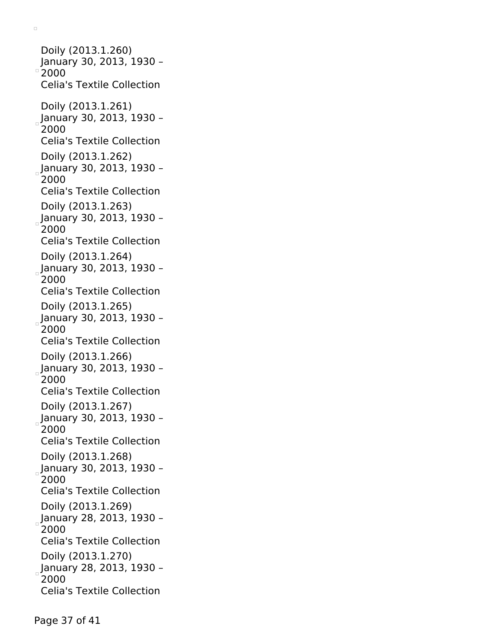Doily (2013.1.260) January 30, 2013, 1930 –  $^{\circ}$  2000 Celia's Textile Collection Doily (2013.1.261) January 30, 2013, 1930 – 2000 Celia's Textile Collection Doily (2013.1.262)  $_{\circ}$ January 30, 2013, 1930 – 2000 Celia's Textile Collection Doily (2013.1.263) January 30, 2013, 1930 – 2000 Celia's Textile Collection Doily (2013.1.264) January 30, 2013, 1930 – 2000 Celia's Textile Collection Doily (2013.1.265) January 30, 2013, 1930 – 2000 Celia's Textile Collection Doily (2013.1.266) January 30, 2013, 1930 – 2000 Celia's Textile Collection Doily (2013.1.267) January 30, 2013, 1930 – 2000 Celia's Textile Collection Doily (2013.1.268) January 30, 2013, 1930 – 2000 Celia's Textile Collection Doily (2013.1.269) January 28, 2013, 1930 – 2000 Celia's Textile Collection Doily (2013.1.270) January 28, 2013, 1930 – 2000 Celia's Textile Collection

 $\Box$ 

Page 37 of 41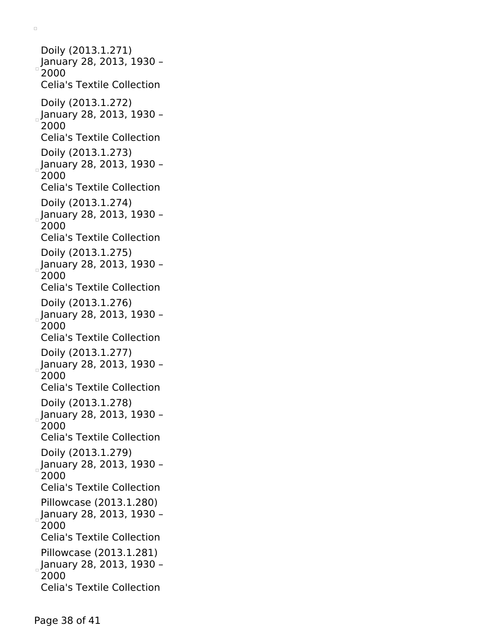Doily (2013.1.271) January 28, 2013, 1930 – 2000 Celia's Textile Collection Doily (2013.1.272) January 28, 2013, 1930 – 2000 Celia's Textile Collection Doily (2013.1.273) January 28, 2013, 1930 – 2000 Celia's Textile Collection Doily (2013.1.274) January 28, 2013, 1930 – 2000 Celia's Textile Collection Doily (2013.1.275) January 28, 2013, 1930 – 2000 Celia's Textile Collection Doily (2013.1.276) January 28, 2013, 1930 – 2000 Celia's Textile Collection Doily (2013.1.277) January 28, 2013, 1930 – 2000 Celia's Textile Collection Doily (2013.1.278) January 28, 2013, 1930 – 2000 Celia's Textile Collection Doily (2013.1.279) January 28, 2013, 1930 – 2000 Celia's Textile Collection Pillowcase (2013.1.280) January 28, 2013, 1930 – 2000 Celia's Textile Collection Pillowcase (2013.1.281) January 28, 2013, 1930 – 2000 Celia's Textile Collection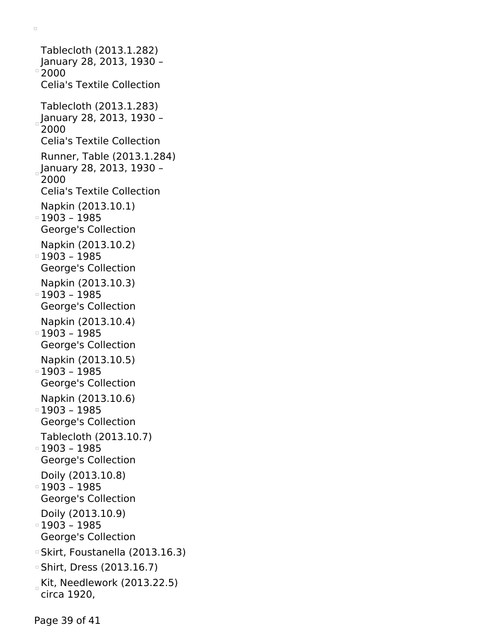Celia's Textile Collection Tablecloth (2013.1.283)  $_{\circ}$ January 28, 2013, 1930 – 2000 Celia's Textile Collection Runner, Table (2013.1.284)  $_{\circ}$ January 28, 2013, 1930 -2000 Celia's Textile Collection Napkin (2013.10.1) 1903 – 1985 George's Collection Napkin (2013.10.2) 1903 – 1985 George's Collection Napkin (2013.10.3) 1903 – 1985 George's Collection Napkin (2013.10.4) 1903 – 1985 George's Collection Napkin (2013.10.5) 1903 – 1985 George's Collection Napkin (2013.10.6) 1903 – 1985 George's Collection Tablecloth (2013.10.7) 1903 – 1985 George's Collection Doily (2013.10.8) 1903 – 1985 George's Collection Doily (2013.10.9) 1903 – 1985 George's Collection Skirt, Foustanella (2013.16.3) Shirt, Dress (2013.16.7) Kit, Needlework (2013.22.5) circa 1920,

Page 39 of 41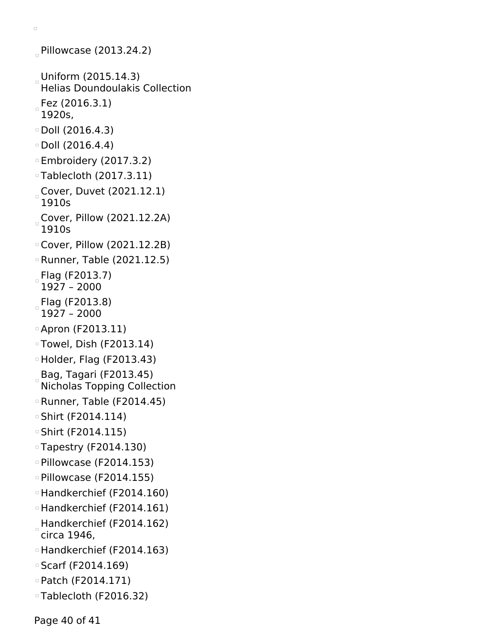```
Pillowcase (2013.24.2)
Uniform (2015.14.3)
 Helias Doundoulakis Collection
Fez (2016.3.1)
 1920s,
Doll (2016.4.3)
Doll (2016.4.4)
Embroidery (2017.3.2)
Tablecloth (2017.3.11)
Cover, Duvet (2021.12.1)
 1910s
Cover, Pillow (2021.12.2A)
 1910s
Cover, Pillow (2021.12.2B)
Runner, Table (2021.12.5)
Flag (F2013.7)
 1927 – 2000
Flag (F2013.8)
 1927 – 2000
Apron (F2013.11)
Towel, Dish (F2013.14)
Holder, Flag (F2013.43)
Bag, Tagari (F2013.45)
 Nicholas Topping Collection
Runner, Table (F2014.45)
Shirt (F2014.114)
Shirt (F2014.115)
Tapestry (F2014.130)
Pillowcase (F2014.153)
Pillowcase (F2014.155)
Handkerchief (F2014.160)
Handkerchief (F2014.161)
Handkerchief (F2014.162)
 circa 1946,
Handkerchief (F2014.163)
Scarf (F2014.169)
Patch (F2014.171)
Tablecloth (F2016.32)
```
Page 40 of 41